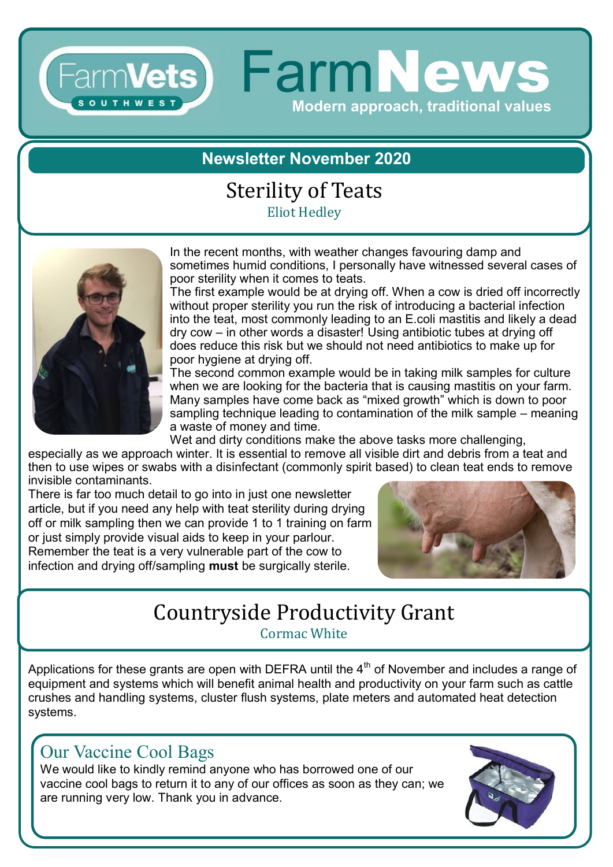# Farm**Vets** FarmNews **Modern approach, traditional values**

## **Newsletter November 2020**

#### Sterility of Teats Eliot Hedley



In the recent months, with weather changes favouring damp and sometimes humid conditions, I personally have witnessed several cases of poor sterility when it comes to teats.

The first example would be at drying off. When a cow is dried off incorrectly without proper sterility you run the risk of introducing a bacterial infection into the teat, most commonly leading to an E.coli mastitis and likely a dead dry cow – in other words a disaster! Using antibiotic tubes at drying off does reduce this risk but we should not need antibiotics to make up for poor hygiene at drying off.

The second common example would be in taking milk samples for culture when we are looking for the bacteria that is causing mastitis on your farm. Many samples have come back as "mixed growth" which is down to poor sampling technique leading to contamination of the milk sample – meaning a waste of money and time.

Wet and dirty conditions make the above tasks more challenging,

especially as we approach winter. It is essential to remove all visible dirt and debris from a teat and then to use wipes or swabs with a disinfectant (commonly spirit based) to clean teat ends to remove invisible contaminants.

There is far too much detail to go into in just one newsletter article, but if you need any help with teat sterility during drying off or milk sampling then we can provide 1 to 1 training on farm or just simply provide visual aids to keep in your parlour. Remember the teat is a very vulnerable part of the cow to infection and drying off/sampling **must** be surgically sterile.



# Countryside Productivity Grant

Cormac White

Applications for these grants are open with DEFRA until the  $4<sup>th</sup>$  of November and includes a range of equipment and systems which will benefit animal health and productivity on your farm such as cattle crushes and handling systems, cluster flush systems, plate meters and automated heat detection systems.

## Our Vaccine Cool Bags

We would like to kindly remind anyone who has borrowed one of our vaccine cool bags to return it to any of our offices as soon as they can; we are running very low. Thank you in advance.